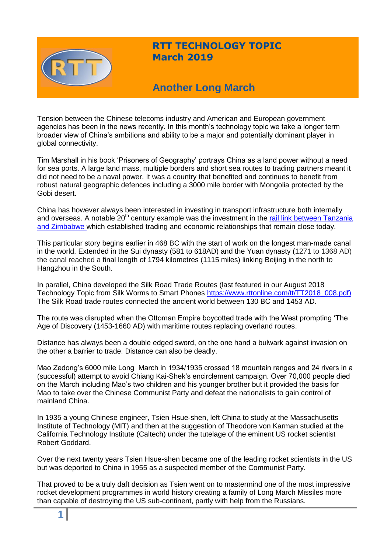

# **RTT TECHNOLOGY TOPIC March 2019**

# **Another Long March**

Tension between the Chinese telecoms industry and American and European government agencies has been in the news recently. In this month's technology topic we take a longer term broader view of China's ambitions and ability to be a major and potentially dominant player in global connectivity.

Tim Marshall in his book 'Prisoners of Geography' portrays China as a land power without a need for sea ports. A large land mass, multiple borders and short sea routes to trading partners meant it did not need to be a naval power. It was a country that benefited and continues to benefit from robust natural geographic defences including a 3000 mile border with Mongolia protected by the Gobi desert.

China has however always been interested in investing in transport infrastructure both internally and overseas. A notable 20<sup>th</sup> century example was the investment in the rail link between Tanzania [and Zimbabwe w](https://worldhistoryarchive.wordpress.com/2017/01/24/julius-nyerere-meets-mao-zedong/)hich established trading and economic relationships that remain close today.

This particular story begins earlier in 468 BC with the start of work on the longest man-made canal in the world. Extended in the Sui dynasty (581 to 618AD) and the Yuan dynasty (1271 to 1368 AD) the canal reached a final length of 1794 kilometres (1115 miles) linking Beijing in the north to Hangzhou in the South.

In parallel, China developed the Silk Road Trade Routes (last featured in our August 2018 Technology Topic from Silk Worms to Smart Phones [https://www.rttonline.com/tt/TT2018\\_008.pdf\)](https://www.rttonline.com/tt/TT2018_008.pdf) The Silk Road trade routes connected the ancient world between 130 BC and 1453 AD.

The route was disrupted when the Ottoman Empire boycotted trade with the West prompting 'The Age of Discovery (1453-1660 AD) with maritime routes replacing overland routes.

Distance has always been a double edged sword, on the one hand a bulwark against invasion on the other a barrier to trade. Distance can also be deadly.

Mao Zedong's 6000 mile Long March in 1934/1935 crossed 18 mountain ranges and 24 rivers in a (successful) attempt to avoid Chiang Kai-Shek's encirclement campaign. Over 70,000 people died on the March including Mao's two children and his younger brother but it provided the basis for Mao to take over the Chinese Communist Party and defeat the nationalists to gain control of mainland China.

In 1935 a young Chinese engineer, Tsien Hsue-shen, left China to study at the Massachusetts Institute of Technology (MIT) and then at the suggestion of Theodore von Karman studied at the California Technology Institute (Caltech) under the tutelage of the eminent US rocket scientist Robert Goddard.

Over the next twenty years Tsien Hsue-shen became one of the leading rocket scientists in the US but was deported to China in 1955 as a suspected member of the Communist Party.

That proved to be a truly daft decision as Tsien went on to mastermind one of the most impressive rocket development programmes in world history creating a family of Long March Missiles more than capable of destroying the US sub-continent, partly with help from the Russians.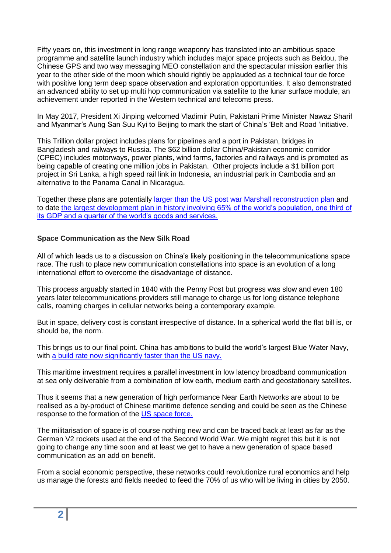Fifty years on, this investment in long range weaponry has translated into an ambitious space programme and satellite launch industry which includes major space projects such as Beidou, the Chinese GPS and two way messaging MEO constellation and the spectacular mission earlier this year to the other side of the moon which should rightly be applauded as a technical tour de force with positive long term deep space observation and exploration opportunities. It also demonstrated an advanced ability to set up multi hop communication via satellite to the lunar surface module, an achievement under reported in the Western technical and telecoms press.

In May 2017, President Xi Jinping welcomed Vladimir Putin, Pakistani Prime Minister Nawaz Sharif and Myanmar's Aung San Suu Kyi to Beijing to mark the start of China's 'Belt and Road 'initiative.

This Trillion dollar project includes plans for pipelines and a port in Pakistan, bridges in Bangladesh and railways to Russia. The \$62 billion dollar China/Pakistan economic corridor (CPEC) includes motorways, power plants, wind farms, factories and railways and is promoted as being capable of creating one million jobs in Pakistan. Other projects include a \$1 billion port project in Sri Lanka, a high speed rail link in Indonesia, an industrial park in Cambodia and an alternative to the Panama Canal in Nicaragua.

Together these plans are potentially [larger than the US post war Marshall reconstruction plan](https://www.mckinsey.com/featured-insights/china/chinas-one-belt-one-road-will-it-reshape-global-trade) and to date [the largest development plan in history involving 65% of the world's population, one third of](https://www.theguardian.com/world/2017/may/12/the-900bn-question-what-is-the-belt-and-road-initiative)  [its GDP and a quarter of the world's goods and services.](https://www.theguardian.com/world/2017/may/12/the-900bn-question-what-is-the-belt-and-road-initiative)

## **Space Communication as the New Silk Road**

All of which leads us to a discussion on China's likely positioning in the telecommunications space race. The rush to place new communication constellations into space is an evolution of a long international effort to overcome the disadvantage of distance.

This process arguably started in 1840 with the Penny Post but progress was slow and even 180 years later telecommunications providers still manage to charge us for long distance telephone calls, roaming charges in cellular networks being a contemporary example.

But in space, delivery cost is constant irrespective of distance. In a spherical world the flat bill is, or should be, the norm.

This brings us to our final point. China has ambitions to build the world's largest Blue Water Navy, with [a build rate now significantly faster than the US navy.](https://nationalinterest.org/blog/buzz/chinas-navy-verge-becoming-aircraft-carrier-superpower-33131)

This maritime investment requires a parallel investment in low latency broadband communication at sea only deliverable from a combination of low earth, medium earth and geostationary satellites.

Thus it seems that a new generation of high performance Near Earth Networks are about to be realised as a by-product of Chinese maritime defence sending and could be seen as the Chinese response to the formation of the [US space force.](https://www.space.com/president-trump-space-force-directive.html?utm_source=sdc-newsletter&utm_medium=email&utm_campaign=20190221-sdc)

The militarisation of space is of course nothing new and can be traced back at least as far as the German V2 rockets used at the end of the Second World War. We might regret this but it is not going to change any time soon and at least we get to have a new generation of space based communication as an add on benefit.

From a social economic perspective, these networks could revolutionize rural economics and help us manage the forests and fields needed to feed the 70% of us who will be living in cities by 2050.